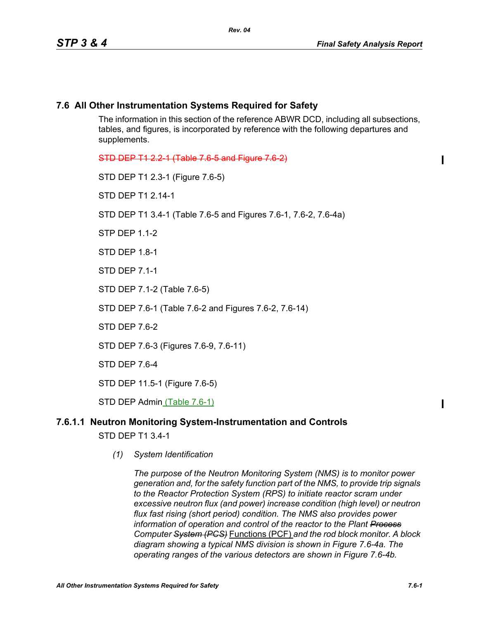ı

ı

#### **7.6 All Other Instrumentation Systems Required for Safety**

The information in this section of the reference ABWR DCD, including all subsections, tables, and figures, is incorporated by reference with the following departures and supplements.

STD DEP T1 2.2-1 (Table 7.6-5 and Figure 7.6-2)

STD DEP T1 2.3-1 (Figure 7.6-5)

STD DEP T1 2.14-1

STD DEP T1 3.4-1 (Table 7.6-5 and Figures 7.6-1, 7.6-2, 7.6-4a)

STP DEP 1.1-2

STD DEP 1.8-1

STD DEP 7.1-1

STD DEP 7.1-2 (Table 7.6-5)

STD DEP 7.6-1 (Table 7.6-2 and Figures 7.6-2, 7.6-14)

STD DEP 7.6-2

STD DEP 7.6-3 (Figures 7.6-9, 7.6-11)

STD DEP 7.6-4

STD DEP 11.5-1 (Figure 7.6-5)

STD DEP Admin (Table 7.6-1)

# **7.6.1.1 Neutron Monitoring System-Instrumentation and Controls**

STD DEP T1 3.4-1

*(1) System Identification*

*The purpose of the Neutron Monitoring System (NMS) is to monitor power generation and, for the safety function part of the NMS, to provide trip signals to the Reactor Protection System (RPS) to initiate reactor scram under excessive neutron flux (and power) increase condition (high level) or neutron flux fast rising (short period) condition. The NMS also provides power information of operation and control of the reactor to the Plant Process Computer System (PCS)* Functions (PCF) *and the rod block monitor. A block diagram showing a typical NMS division is shown in Figure 7.6-4a. The operating ranges of the various detectors are shown in Figure 7.6-4b.*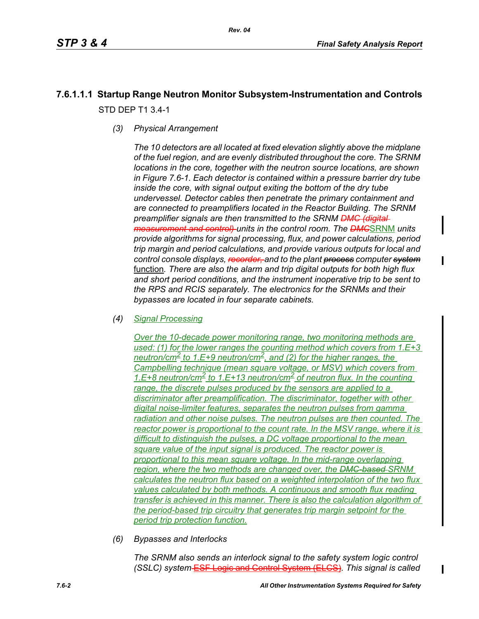## **7.6.1.1.1 Startup Range Neutron Monitor Subsystem-Instrumentation and Controls** STD DEP T1 3.4-1

*(3) Physical Arrangement*

*The 10 detectors are all located at fixed elevation slightly above the midplane of the fuel region, and are evenly distributed throughout the core. The SRNM locations in the core, together with the neutron source locations, are shown in Figure 7.6-1. Each detector is contained within a pressure barrier dry tube inside the core, with signal output exiting the bottom of the dry tube undervessel. Detector cables then penetrate the primary containment and are connected to preamplifiers located in the Reactor Building. The SRNM preamplifier signals are then transmitted to the SRNM DMC (digital measurement and control) units in the control room. The DMC*SRNM *units provide algorithms for signal processing, flux, and power calculations, period trip margin and period calculations, and provide various outputs for local and control console displays, recorder, and to the plant process computer system* function*. There are also the alarm and trip digital outputs for both high flux and short period conditions, and the instrument inoperative trip to be sent to the RPS and RCIS separately. The electronics for the SRNMs and their bypasses are located in four separate cabinets.*

*(4) Signal Processing*

*Over the 10-decade power monitoring range, two monitoring methods are used: (1) for the lower ranges the counting method which covers from 1.E+3 neutron/cm2 to 1.E+9 neutron/cm2, and (2) for the higher ranges, the Campbelling technique (mean square voltage, or MSV) which covers from*  1.E+8 neutron/cm<sup>2</sup> to 1.E+13 neutron/cm<sup>2</sup> of neutron flux. In the counting *range, the discrete pulses produced by the sensors are applied to a discriminator after preamplification. The discriminator, together with other digital noise-limiter features, separates the neutron pulses from gamma radiation and other noise pulses. The neutron pulses are then counted. The reactor power is proportional to the count rate. In the MSV range, where it is difficult to distinguish the pulses, a DC voltage proportional to the mean square value of the input signal is produced. The reactor power is proportional to this mean square voltage. In the mid-range overlapping region, where the two methods are changed over, the DMC-based SRNM calculates the neutron flux based on a weighted interpolation of the two flux values calculated by both methods. A continuous and smooth flux reading transfer is achieved in this manner. There is also the calculation algorithm of the period-based trip circuitry that generates trip margin setpoint for the period trip protection function.*

*(6) Bypasses and Interlocks*

*The SRNM also sends an interlock signal to the safety system logic control (SSLC) system* ESF Logic and Control System (ELCS)*. This signal is called*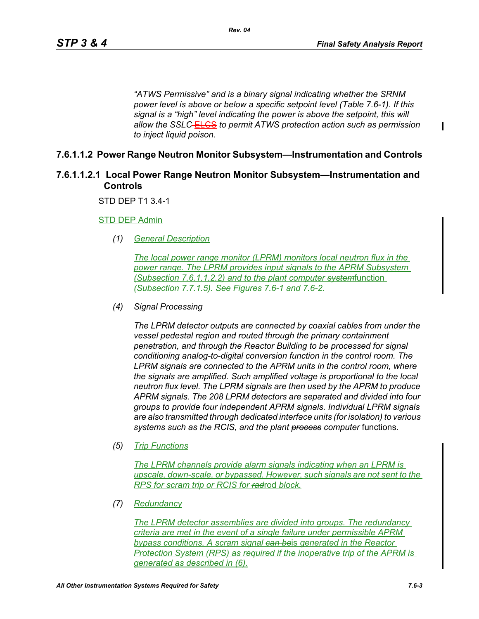*"ATWS Permissive" and is a binary signal indicating whether the SRNM power level is above or below a specific setpoint level (Table 7.6-1). If this signal is a "high" level indicating the power is above the setpoint, this will allow the SSLC* ELCS *to permit ATWS protection action such as permission to inject liquid poison.*

#### **7.6.1.1.2 Power Range Neutron Monitor Subsystem—Instrumentation and Controls**

#### **7.6.1.1.2.1 Local Power Range Neutron Monitor Subsystem—Instrumentation and Controls**

STD DEP T1 3.4-1

STD DEP Admin

*(1) General Description*

*The local power range monitor (LPRM) monitors local neutron flux in the power range. The LPRM provides input signals to the APRM Subsystem (Subsection 7.6.1.1.2.2) and to the plant computer system*function *(Subsection 7.7.1.5). See Figures 7.6-1 and 7.6-2.*

*(4) Signal Processing*

*The LPRM detector outputs are connected by coaxial cables from under the vessel pedestal region and routed through the primary containment penetration, and through the Reactor Building to be processed for signal conditioning analog-to-digital conversion function in the control room. The LPRM signals are connected to the APRM units in the control room, where the signals are amplified. Such amplified voltage is proportional to the local neutron flux level. The LPRM signals are then used by the APRM to produce APRM signals. The 208 LPRM detectors are separated and divided into four groups to provide four independent APRM signals. Individual LPRM signals are also transmitted through dedicated interface units (for isolation) to various systems such as the RCIS, and the plant process computer* functions*.*

*(5) Trip Functions*

*The LPRM channels provide alarm signals indicating when an LPRM is upscale, down-scale, or bypassed. However, such signals are not sent to the RPS for scram trip or RCIS for rad*rod *block.*

*(7) Redundancy*

*The LPRM detector assemblies are divided into groups. The redundancy criteria are met in the event of a single failure under permissible APRM bypass conditions. A scram signal can be*is *generated in the Reactor Protection System (RPS) as required if the inoperative trip of the APRM is generated as described in (6).*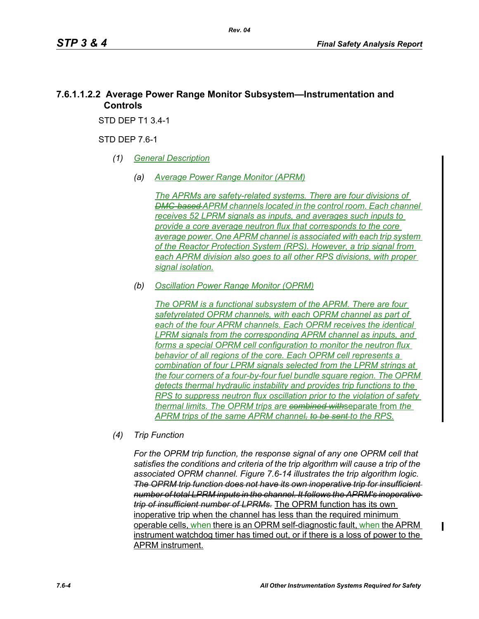#### **7.6.1.1.2.2 Average Power Range Monitor Subsystem—Instrumentation and Controls**

STD DEP T1 3.4-1

STD DEP 7.6-1

- *(1) General Description*
	- *(a) Average Power Range Monitor (APRM)*

*The APRMs are safety-related systems. There are four divisions of DMC-based APRM channels located in the control room. Each channel receives 52 LPRM signals as inputs, and averages such inputs to provide a core average neutron flux that corresponds to the core average power. One APRM channel is associated with each trip system of the Reactor Protection System (RPS). However, a trip signal from each APRM division also goes to all other RPS divisions, with proper signal isolation.*

*(b) Oscillation Power Range Monitor (OPRM)*

*The OPRM is a functional subsystem of the APRM. There are four safetyrelated OPRM channels, with each OPRM channel as part of each of the four APRM channels. Each OPRM receives the identical LPRM signals from the corresponding APRM channel as inputs, and forms a special OPRM cell configuration to monitor the neutron flux behavior of all regions of the core. Each OPRM cell represents a combination of four LPRM signals selected from the LPRM strings at the four corners of a four-by-four fuel bundle square region. The OPRM detects thermal hydraulic instability and provides trip functions to the RPS to suppress neutron flux oscillation prior to the violation of safety thermal limits. The OPRM trips are combined with*separate from *the APRM trips of the same APRM channel, to be sent to the RPS.*

*(4) Trip Function*

For the OPRM trip function, the response signal of any one OPRM cell that *satisfies the conditions and criteria of the trip algorithm will cause a trip of the associated OPRM channel. Figure 7.6-14 illustrates the trip algorithm logic. The OPRM trip function does not have its own inoperative trip for insufficient number of total LPRM inputs in the channel. It follows the APRM's inoperative trip of insufficient number of LPRMs.* The OPRM function has its own inoperative trip when the channel has less than the required minimum operable cells, when there is an OPRM self-diagnostic fault, when the APRM instrument watchdog timer has timed out, or if there is a loss of power to the APRM instrument.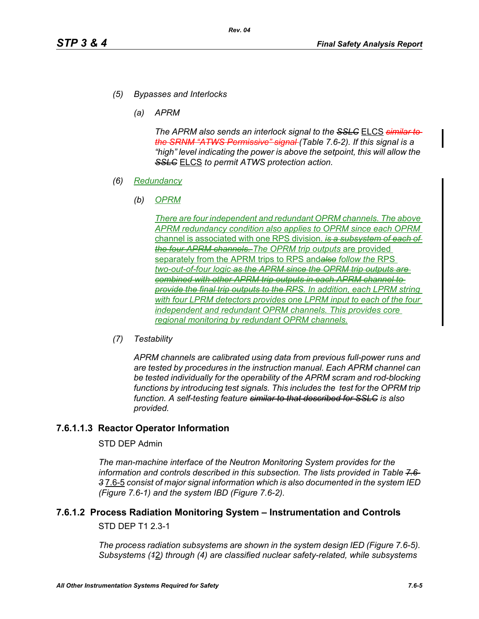- *(5) Bypasses and Interlocks*
	- *(a) APRM*

*The APRM also sends an interlock signal to the SSLC* ELCS *similar to the SRNM "ATWS Permissive" signal (Table 7.6-2). If this signal is a "high" level indicating the power is above the setpoint, this will allow the SSLC* ELCS *to permit ATWS protection action.*

- *(6) Redundancy*
	- *(b) OPRM*

*There are four independent and redundant OPRM channels. The above APRM redundancy condition also applies to OPRM since each OPRM*  channel is associated with one RPS division. *is a subsystem of each of the four APRM channels. The OPRM trip outputs* are provided separately from the APRM trips to RPS and*also follow the* RPS *two-out-of-four logic as the APRM since the OPRM trip outputs are combined with other APRM trip outputs in each APRM channel to provide the final trip outputs to the RPS. In addition, each LPRM string*  with four LPRM detectors provides one LPRM input to each of the four *independent and redundant OPRM channels. This provides core regional monitoring by redundant OPRM channels.*

*(7) Testability*

*APRM channels are calibrated using data from previous full-power runs and are tested by procedures in the instruction manual. Each APRM channel can be tested individually for the operability of the APRM scram and rod-blocking*  functions by introducing test signals. This includes the test for the OPRM trip *function. A self-testing feature similar to that described for SSLC is also provided.*

#### **7.6.1.1.3 Reactor Operator Information**

#### STD DEP Admin

*The man-machine interface of the Neutron Monitoring System provides for the information and controls described in this subsection. The lists provided in Table 7.6- 3* 7.6-5 *consist of major signal information which is also documented in the system IED (Figure 7.6-1) and the system IBD (Figure 7.6-2).*

# **7.6.1.2 Process Radiation Monitoring System – Instrumentation and Controls**

STD DEP T1 2.3-1

*The process radiation subsystems are shown in the system design IED (Figure 7.6-5). Subsystems (1*2*) through (4) are classified nuclear safety-related, while subsystems*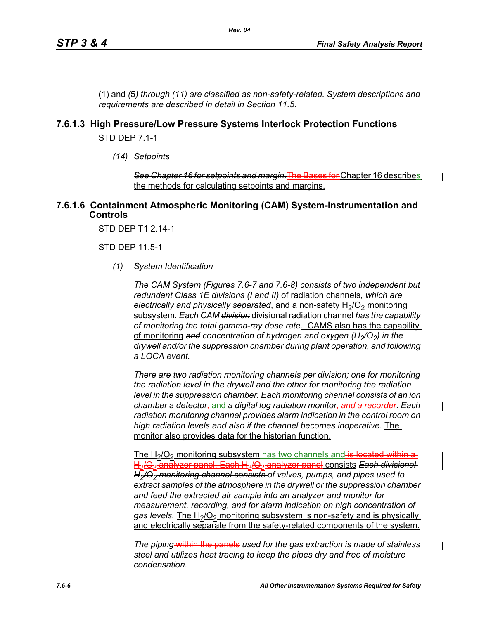(1) and *(*5*) through (11) are classified as non-safety-related. System descriptions and requirements are described in detail in Section 11.5*.

#### **7.6.1.3 High Pressure/Low Pressure Systems Interlock Protection Functions**

*Rev. 04*

STD DEP 7.1-1

*(14) Setpoints*

*See Chapter 16 for setpoints and margin.*The Bases for Chapter 16 describes the methods for calculating setpoints and margins.

#### **7.6.1.6 Containment Atmospheric Monitoring (CAM) System-Instrumentation and Controls**

STD DEP T1 2.14-1

STD DEP 11.5-1

*(1) System Identification*

*The CAM System (Figures 7.6-7 and 7.6-8) consists of two independent but redundant Class 1E divisions (I and II)* of radiation channels*, which are electrically and physically separated, and a non-safety H<sub>2</sub>/O<sub>2</sub> monitoring* subsystem*. Each CAM division* divisional radiation channel *has the capability of monitoring the total gamma-ray dose rate*. CAMS also has the capability of monitoring and concentration of hydrogen and oxygen (H<sub>2</sub>/O<sub>2</sub>) in the *drywell and/or the suppression chamber during plant operation, and following a LOCA event.* 

*There are two radiation monitoring channels per division; one for monitoring the radiation level in the drywell and the other for monitoring the radiation level in the suppression chamber. Each monitoring channel consists of an ion chamber* a *detector,* and *a digital log radiation monitor, and a recorder. Each radiation monitoring channel provides alarm indication in the control room on high radiation levels and also if the channel becomes inoperative.* The monitor also provides data for the historian function.

The  $H<sub>2</sub>/O<sub>2</sub>$  monitoring subsystem has two channels and is located within a H2/O2 analyzer panel. Each H2/O2 analyzer panel consists *Each divisional H2/O2 monitoring channel consists of valves, pumps, and pipes used to extract samples of the atmosphere in the drywell or the suppression chamber and feed the extracted air sample into an analyzer and monitor for measurement, recording, and for alarm indication on high concentration of*  gas levels. The H<sub>2</sub>/O<sub>2</sub> monitoring subsystem is non-safety and is physically and electrically separate from the safety-related components of the system.

*The piping* within the panels *used for the gas extraction is made of stainless steel and utilizes heat tracing to keep the pipes dry and free of moisture condensation.*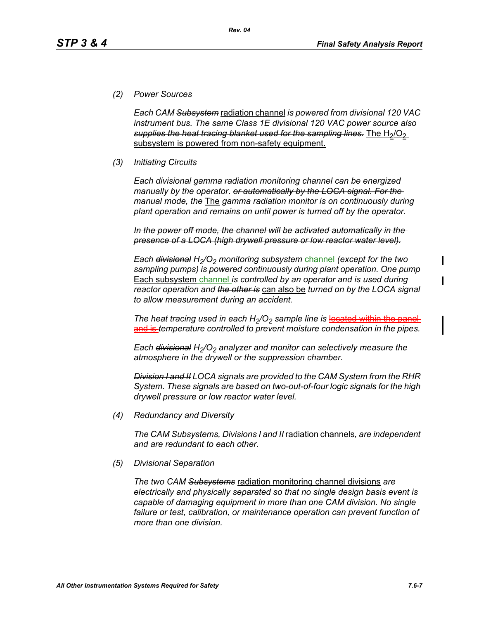#### *(2) Power Sources*

*Each CAM Subsystem* radiation channel *is powered from divisional 120 VAC instrument bus. The same Class 1E divisional 120 VAC power source also*  supplies the heat tracing blanket used for the sampling lines. The H<sub>2</sub>/O<sub>2</sub> subsystem is powered from non-safety equipment.

*Rev. 04*

#### *(3) Initiating Circuits*

*Each divisional gamma radiation monitoring channel can be energized manually by the operator*. *or automatically by the LOCA signal. For the manual mode, the* The *gamma radiation monitor is on continuously during plant operation and remains on until power is turned off by the operator.*

*In the power off mode, the channel will be activated automatically in the presence of a LOCA (high drywell pressure or low reactor water level).*

*Each <del>divisional</del> H<sub>2</sub>/O<sub>2</sub> monitoring subsystem channel (except for the two sampling pumps) is powered continuously during plant operation. One pump* Each subsystem channel *is controlled by an operator and is used during reactor operation and the other is* can also be *turned on by the LOCA signal to allow measurement during an accident.*

*The heat tracing used in each H<sub>2</sub>/O<sub>2</sub> sample line is located within the panel* and is *temperature controlled to prevent moisture condensation in the pipes.* 

*Each <del>divisional</del> H<sub>2</sub>/O<sub>2</sub> analyzer and monitor can selectively measure the atmosphere in the drywell or the suppression chamber.*

*Division I and II LOCA signals are provided to the CAM System from the RHR System. These signals are based on two-out-of-four logic signals for the high drywell pressure or low reactor water level.*

*(4) Redundancy and Diversity*

*The CAM Subsystems, Divisions I and II* radiation channels*, are independent and are redundant to each other.*

*(5) Divisional Separation*

*The two CAM Subsystems* radiation monitoring channel divisions *are electrically and physically separated so that no single design basis event is capable of damaging equipment in more than one CAM division. No single*  failure or test, calibration, or maintenance operation can prevent function of *more than one division.*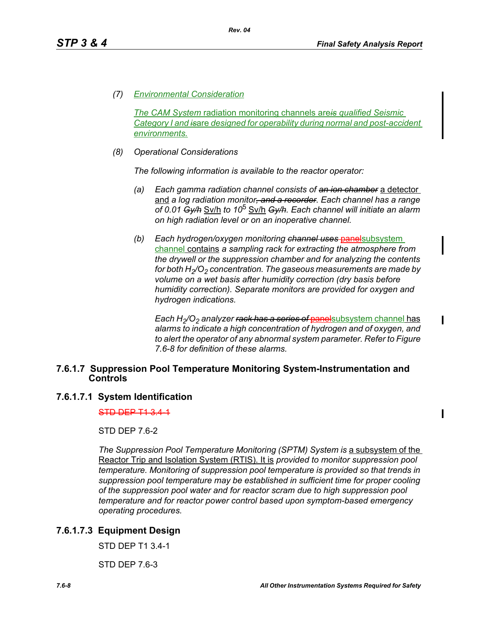*(7) Environmental Consideration*

*The CAM System* radiation monitoring channels are*is qualified Seismic Category I and is*are *designed for operability during normal and post-accident environments.*

*(8) Operational Considerations*

*The following information is available to the reactor operator:*

- *(a) Each gamma radiation channel consists of an ion chamber* a detector and *a log radiation monitor, and a recorder. Each channel has a range of 0.01 Gy/h* Sv/h *to 10*5 Sv/h *Gy/h. Each channel will initiate an alarm on high radiation level or on an inoperative channel.*
- *(b) Each hydrogen/oxygen monitoring channel uses* panelsubsystem channel contains *a sampling rack for extracting the atmosphere from the drywell or the suppression chamber and for analyzing the contents for both H<sub>2</sub>/O<sub>2</sub> concentration. The gaseous measurements are made by volume on a wet basis after humidity correction (dry basis before humidity correction). Separate monitors are provided for oxygen and hydrogen indications.*

*Each H<sub>2</sub>/O<sub>2</sub> analyzer <del>rack has a series of panel</del>subsystem channel has alarms to indicate a high concentration of hydrogen and of oxygen, and to alert the operator of any abnormal system parameter. Refer to Figure 7.6-8 for definition of these alarms.*

#### **7.6.1.7 Suppression Pool Temperature Monitoring System-Instrumentation and Controls**

#### **7.6.1.7.1 System Identification**

STD DEP T1 3.4-1

STD DEP 7.6-2

*The Suppression Pool Temperature Monitoring (SPTM) System is a subsystem of the* Reactor Trip and Isolation System (RTIS). It is *provided to monitor suppression pool temperature. Monitoring of suppression pool temperature is provided so that trends in suppression pool temperature may be established in sufficient time for proper cooling of the suppression pool water and for reactor scram due to high suppression pool temperature and for reactor power control based upon symptom-based emergency operating procedures.*

#### **7.6.1.7.3 Equipment Design**

STD DEP T1 3.4-1

STD DEP 7.6-3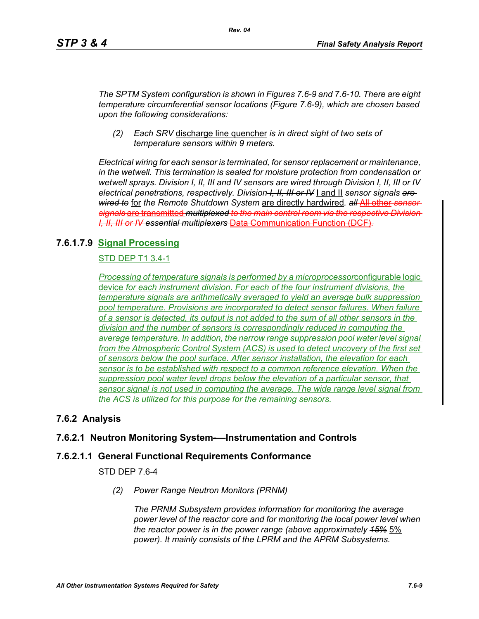*The SPTM System configuration is shown in Figures 7.6-9 and 7.6-10. There are eight temperature circumferential sensor locations (Figure 7.6-9), which are chosen based upon the following considerations:*

*(2) Each SRV* discharge line quencher *is in direct sight of two sets of temperature sensors within 9 meters.*

*Electrical wiring for each sensor is terminated, for sensor replacement or maintenance, in the wetwell. This termination is sealed for moisture protection from condensation or wetwell sprays. Division I, II, III and IV sensors are wired through Division I, II, III or IV electrical penetrations, respectively. Division I, II, III or IV* I and II *sensor signals are wired to* for *the Remote Shutdown System* are directly hardwired*. all* All other *sensor signals* are transmitted *multiplexed to the main control room via the respective Division I, II, III or IV essential multiplexers* Data Communication Function (DCF)*.*

#### **7.6.1.7.9 Signal Processing**

#### STD DEP T1 3.4-1

*Processing of temperature signals is performed by a microprocessor*configurable logic device *for each instrument division. For each of the four instrument divisions, the temperature signals are arithmetically averaged to yield an average bulk suppression pool temperature. Provisions are incorporated to detect sensor failures. When failure of a sensor is detected, its output is not added to the sum of all other sensors in the division and the number of sensors is correspondingly reduced in computing the average temperature. In addition, the narrow range suppression pool water level signal*  from the Atmospheric Control System (ACS) is used to detect uncovery of the first set *of sensors below the pool surface. After sensor installation, the elevation for each sensor is to be established with respect to a common reference elevation. When the suppression pool water level drops below the elevation of a particular sensor, that sensor signal is not used in computing the average. The wide range level signal from the ACS is utilized for this purpose for the remaining sensors.*

#### **7.6.2 Analysis**

#### **7.6.2.1 Neutron Monitoring System-—Instrumentation and Controls**

#### **7.6.2.1.1 General Functional Requirements Conformance**

STD DEP 7.6-4

*(2) Power Range Neutron Monitors (PRNM)*

*The PRNM Subsystem provides information for monitoring the average power level of the reactor core and for monitoring the local power level when the reactor power is in the power range (above approximately 15%* 5% *power). It mainly consists of the LPRM and the APRM Subsystems.*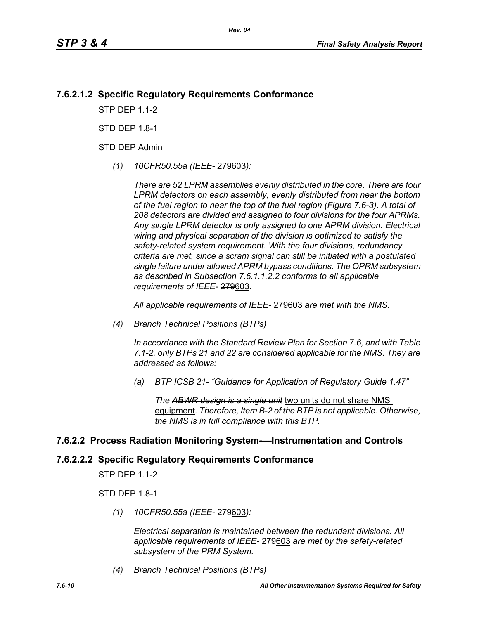#### **7.6.2.1.2 Specific Regulatory Requirements Conformance**

**STP DFP 11-2** 

**STD DFP 18-1** 

STD DEP Admin

*(1) 10CFR50.55a (IEEE-* 279603*):*

*There are 52 LPRM assemblies evenly distributed in the core. There are four LPRM detectors on each assembly, evenly distributed from near the bottom of the fuel region to near the top of the fuel region (Figure 7.6-3). A total of 208 detectors are divided and assigned to four divisions for the four APRMs. Any single LPRM detector is only assigned to one APRM division. Electrical wiring and physical separation of the division is optimized to satisfy the safety-related system requirement. With the four divisions, redundancy criteria are met, since a scram signal can still be initiated with a postulated single failure under allowed APRM bypass conditions. The OPRM subsystem as described in Subsection 7.6.1.1.2.2 conforms to all applicable requirements of IEEE-* 279603*.*

*All applicable requirements of IEEE-* 279603 *are met with the NMS.*

*(4) Branch Technical Positions (BTPs)* 

*In accordance with the Standard Review Plan for Section 7.6, and with Table 7.1-2, only BTPs 21 and 22 are considered applicable for the NMS. They are addressed as follows:* 

*(a) BTP ICSB 21- "Guidance for Application of Regulatory Guide 1.47"* 

*The ABWR design is a single unit* two units do not share NMS equipment*. Therefore, Item B-2 of the BTP is not applicable. Otherwise, the NMS is in full compliance with this BTP.* 

#### **7.6.2.2 Process Radiation Monitoring System-—Instrumentation and Controls**

### **7.6.2.2.2 Specific Regulatory Requirements Conformance**

STP DEP 1.1-2

STD DEP 1.8-1

*(1) 10CFR50.55a (IEEE-* 279603*):*

*Electrical separation is maintained between the redundant divisions. All applicable requirements of IEEE-* 279603 *are met by the safety-related subsystem of the PRM System.*

*(4) Branch Technical Positions (BTPs)*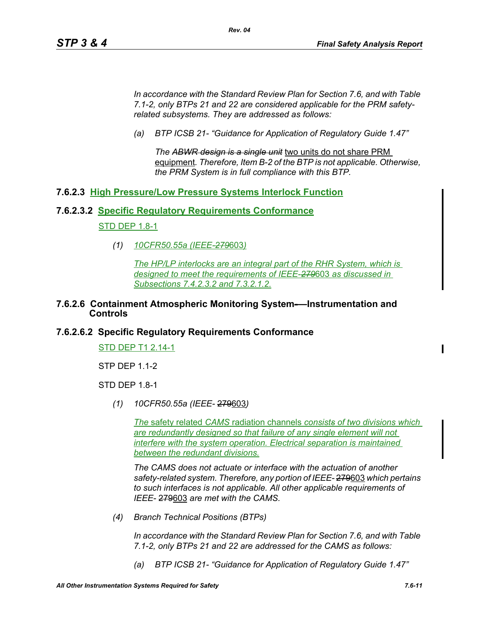*In accordance with the Standard Review Plan for Section 7.6, and with Table 7.1-2, only BTPs 21 and 22 are considered applicable for the PRM safetyrelated subsystems. They are addressed as follows:* 

*Rev. 04*

*(a) BTP ICSB 21- "Guidance for Application of Regulatory Guide 1.47"*

*The ABWR design is a single unit* two units do not share PRM equipment*. Therefore, Item B-2 of the BTP is not applicable. Otherwise, the PRM System is in full compliance with this BTP.* 

#### **7.6.2.3 High Pressure/Low Pressure Systems Interlock Function**

#### **7.6.2.3.2 Specific Regulatory Requirements Conformance**

#### STD DEP 1.8-1

*(1) 10CFR50.55a (IEEE-279*603*)*

*The HP/LP interlocks are an integral part of the RHR System, which is designed to meet the requirements of IEEE-279*603 *as discussed in Subsections 7.4.2.3.2 and 7.3.2.1.2.*

#### **7.6.2.6 Containment Atmospheric Monitoring System-—Instrumentation and Controls**

#### **7.6.2.6.2 Specific Regulatory Requirements Conformance**

STD DEP T1 2.14-1

STP DEP 1.1-2

STD DEP 1.8-1

*(1) 10CFR50.55a (IEEE-* 279603*)*

*The* safety related *CAMS* radiation channels *consists of two divisions which are redundantly designed so that failure of any single element will not interfere with the system operation. Electrical separation is maintained between the redundant divisions.*

*The CAMS does not actuate or interface with the actuation of another safety-related system. Therefore, any portion of IEEE-* 279603 *which pertains to such interfaces is not applicable. All other applicable requirements of IEEE-* 279603 *are met with the CAMS.*

*(4) Branch Technical Positions (BTPs)* 

*In accordance with the Standard Review Plan for Section 7.6, and with Table 7.1-2, only BTPs 21 and 22 are addressed for the CAMS as follows:* 

*(a) BTP ICSB 21- "Guidance for Application of Regulatory Guide 1.47"*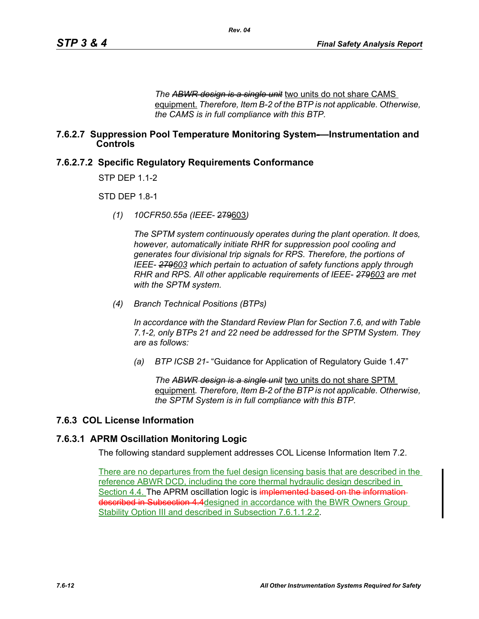*The ABWR design is a single unit* two units do not share CAMS equipment. *Therefore, Item B-2 of the BTP is not applicable. Otherwise, the CAMS is in full compliance with this BTP.* 

#### **7.6.2.7 Suppression Pool Temperature Monitoring System-—Instrumentation and Controls**

*Rev. 04*

#### **7.6.2.7.2 Specific Regulatory Requirements Conformance**

STP DEP 1.1-2

**STD DFP 18-1** 

*(1) 10CFR50.55a (IEEE*- 279603*)*

*The SPTM system continuously operates during the plant operation. It does, however, automatically initiate RHR for suppression pool cooling and generates four divisional trip signals for RPS. Therefore, the portions of IEEE- 279603 which pertain to actuation of safety functions apply through RHR and RPS. All other applicable requirements of IEEE- 279603 are met with the SPTM system.*

*(4) Branch Technical Positions (BTPs)*

*In accordance with the Standard Review Plan for Section 7.6, and with Table 7.1-2, only BTPs 21 and 22 need be addressed for the SPTM System. They are as follows:*

*(a) BTP ICSB 21-* "Guidance for Application of Regulatory Guide 1.47"

*The ABWR design is a single unit* two units do not share SPTM equipment*. Therefore, Item B-2 of the BTP is not applicable. Otherwise, the SPTM System is in full compliance with this BTP.*

#### **7.6.3 COL License Information**

#### **7.6.3.1 APRM Oscillation Monitoring Logic**

The following standard supplement addresses COL License Information Item 7.2.

There are no departures from the fuel design licensing basis that are described in the reference ABWR DCD, including the core thermal hydraulic design described in Section 4.4. The APRM oscillation logic is implemented based on the informationdescribed in Subsection 4.4 designed in accordance with the BWR Owners Group Stability Option III and described in Subsection 7.6.1.1.2.2.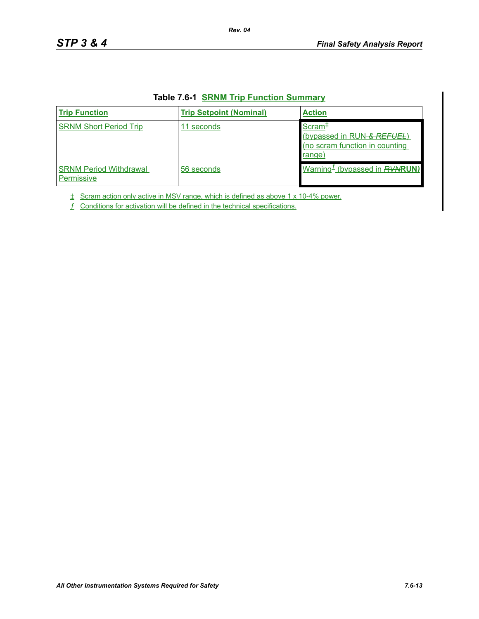| <b>Trip Function</b>                        | <b>Trip Setpoint (Nominal)</b> | <b>Action</b>                                                                                |
|---------------------------------------------|--------------------------------|----------------------------------------------------------------------------------------------|
| <b>SRNM Short Period Trip</b>               | 11 seconds                     | Scram <sup>+</sup><br>(bypassed in RUN-& REFUEL)<br>(no scram function in counting<br>range) |
| <b>SRNM Period Withdrawal</b><br>Permissive | 56 seconds                     | Warning <sup>L</sup> (bypassed in <b>RVNRUN)</b>                                             |

#### **Table 7.6-1 SRNM Trip Function Summary**

*Rev. 04*

 $\pm$  Scram action only active in MSV range, which is defined as above 1 x 10-4% power.

ƒ Conditions for activation will be defined in the technical specifications.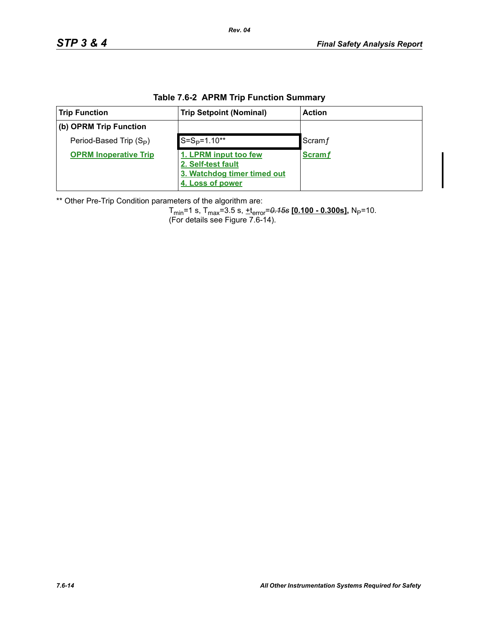|  |  |  |  | Table 7.6-2 APRM Trip Function Summary |
|--|--|--|--|----------------------------------------|
|--|--|--|--|----------------------------------------|

| <b>Trip Function</b>                | <b>Trip Setpoint (Nominal)</b>                                                                 | <b>Action</b> |
|-------------------------------------|------------------------------------------------------------------------------------------------|---------------|
| (b) OPRM Trip Function              |                                                                                                |               |
| Period-Based Trip (S <sub>P</sub> ) | $S = SP=1.10**$                                                                                | Scram f       |
| <b>OPRM Inoperative Trip</b>        | 1. LPRM input too few<br>2. Self-test fault<br>3. Watchdog timer timed out<br>4. Loss of power | <b>Scramf</b> |

\*\* Other Pre-Trip Condition parameters of the algorithm are:

Tmin=1 s, Tmax=3.5 s, +terror=*0.15s* **[0.100 - 0.300s],** NP=10. (For details see Figure 7.6-14).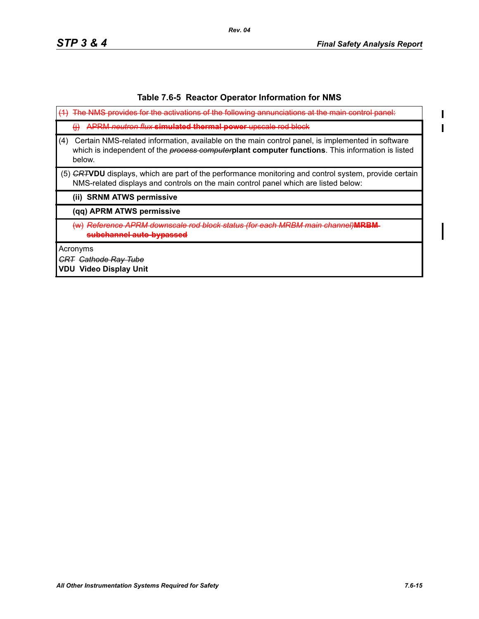$\overline{\mathbf{I}}$  $\blacksquare$ 

#### **Table 7.6-5 Reactor Operator Information for NMS**

|     | The NMS provides for the activations of the following annunciations at the main contr                                                                                                                                  |
|-----|------------------------------------------------------------------------------------------------------------------------------------------------------------------------------------------------------------------------|
|     | <u>APRM peutron flux <b>simulated thermal nower</b> upscale rod block</u>                                                                                                                                              |
| (4) | Certain NMS-related information, available on the main control panel, is implemented in software<br>which is independent of the <i>process computer</i> plant computer functions. This information is listed<br>below. |
|     | (5) GRTVDU displays, which are part of the performance monitoring and control system, provide certain<br>NMS-related displays and controls on the main control panel which are listed below:                           |
|     | (ii) SRNM ATWS permissive                                                                                                                                                                                              |
|     | (qq) APRM ATWS permissive                                                                                                                                                                                              |
|     | <del>Reference APRM downscale rod block status (for each MRBM main channel)<b>MRBM</b></del>                                                                                                                           |
|     | Acronyms                                                                                                                                                                                                               |
|     | <del>Cathode Rav Tube</del>                                                                                                                                                                                            |

**VDU Video Display Unit**

*Rev. 04*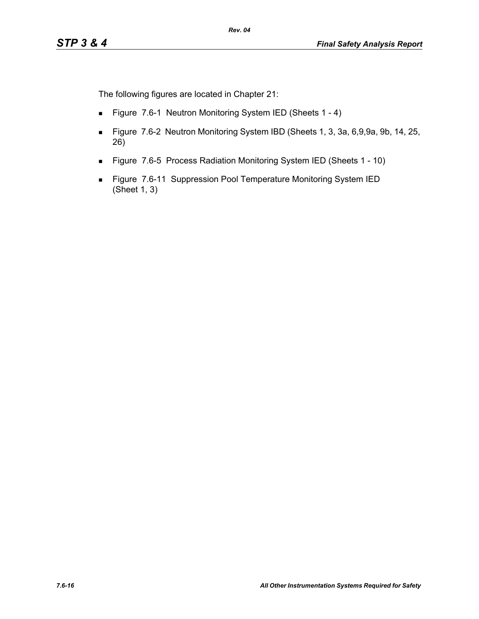The following figures are located in Chapter 21:

- Figure 7.6-1 Neutron Monitoring System IED (Sheets 1 4)
- Figure 7.6-2 Neutron Monitoring System IBD (Sheets 1, 3, 3a, 6,9,9a, 9b, 14, 25, 26)
- Figure 7.6-5 Process Radiation Monitoring System IED (Sheets 1 10)
- **Figure 7.6-11 Suppression Pool Temperature Monitoring System IED** (Sheet 1, 3)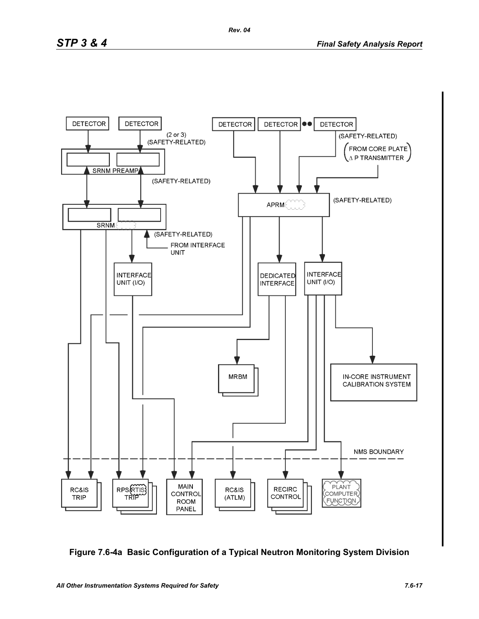

**Figure 7.6-4a Basic Configuration of a Typical Neutron Monitoring System Division**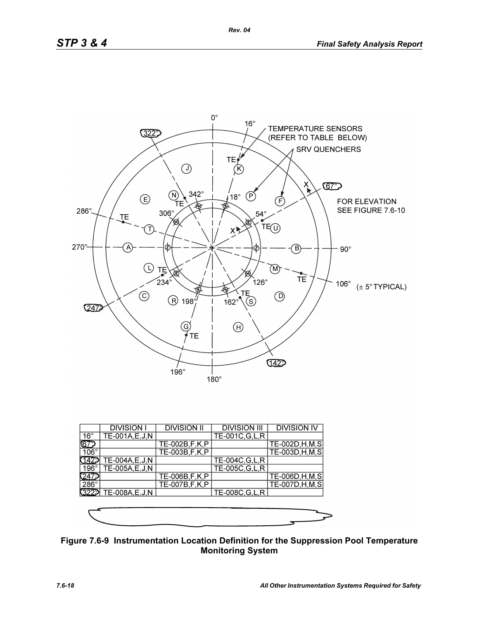

|              | <b>DIVISION I</b> | <b>DIVISION II</b> | <b>DIVISION III</b> | <b>DIVISION IV</b> |
|--------------|-------------------|--------------------|---------------------|--------------------|
| $16^{\circ}$ | TE-001A, E, J, N  |                    | TE-001C, G, L, R    |                    |
| ୲ଢ଼          |                   | TE-002B, F, K, P   |                     | TE-002D, H, M, S   |
| $106^\circ$  |                   | TE-003B, F, K, P   |                     | TE-003D, H, M, S   |
|              | TE-004A, E, J, N  |                    | TE-004C, G, L, R    |                    |
| 196°1        | TE-005A,E,J,N     |                    | TE-005C, G, L, R    |                    |
|              |                   | TE-006B, F, K, P   |                     | TE-006D, H, M, S   |
| $286^\circ$  |                   | TE-007B, F, K, P   |                     | TE-007D, H, M, S   |
| 3229         | TE-008A, E, J, N  |                    | TE-008C, G, L, R    |                    |
|              |                   |                    |                     |                    |
|              |                   |                    |                     |                    |
|              |                   |                    |                     |                    |

**Figure 7.6-9 Instrumentation Location Definition for the Suppression Pool Temperature Monitoring System**